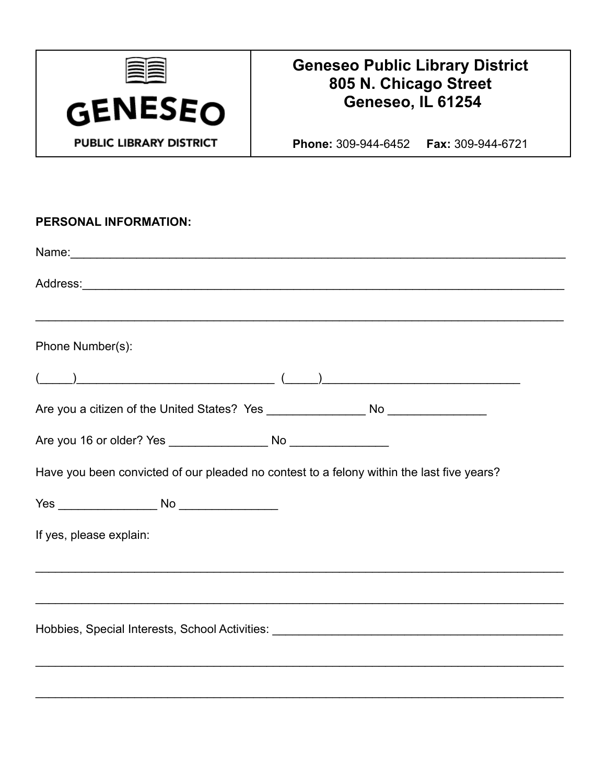

## **Geneseo Public Library District** 805 N. Chicago Street Geneseo, IL 61254

Phone: 309-944-6452 Fax: 309-944-6721

| PERSONAL INFORMATION:                                                                                          |
|----------------------------------------------------------------------------------------------------------------|
|                                                                                                                |
|                                                                                                                |
| Phone Number(s):                                                                                               |
| $\begin{pmatrix} 1 & 1 & 1 \end{pmatrix}$                                                                      |
| Are you a citizen of the United States? Yes ___________________ No ______________                              |
|                                                                                                                |
| Have you been convicted of our pleaded no contest to a felony within the last five years?                      |
|                                                                                                                |
| If yes, please explain:                                                                                        |
|                                                                                                                |
| Hobbies, Special Interests, School Activities: University of Activities and Activities of Activities and Activ |
|                                                                                                                |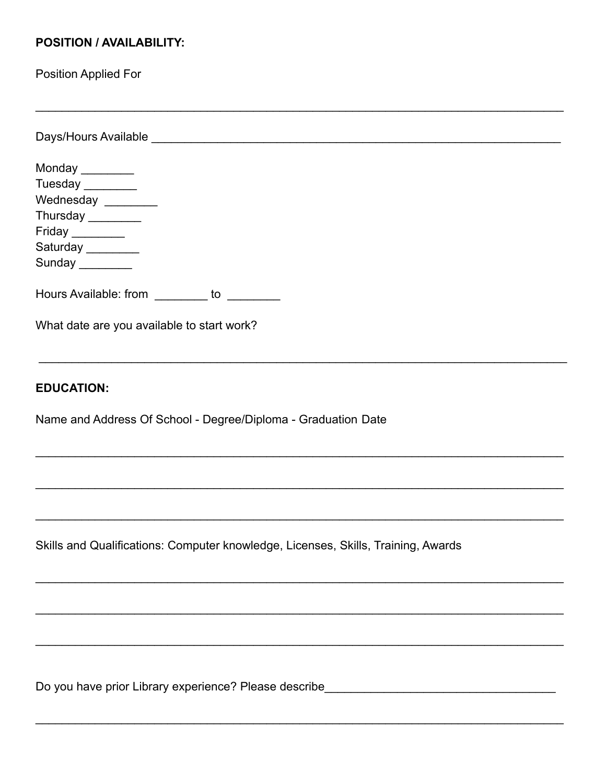## **POSITION / AVAILABILITY:**

**Position Applied For** 

Monday \_\_\_\_\_\_\_\_ Tuesday Wednesday \_\_\_\_\_\_\_\_ Thursday \_\_\_\_\_\_\_\_ Friday Saturday \_\_\_\_\_\_\_\_ Sunday Hours Available: from \_\_\_\_\_\_\_\_\_ to \_\_\_\_\_\_\_\_\_ What date are you available to start work? **EDUCATION:** Name and Address Of School - Degree/Diploma - Graduation Date Skills and Qualifications: Computer knowledge, Licenses, Skills, Training, Awards

Do you have prior Library experience? Please describe\_\_\_\_\_\_\_\_\_\_\_\_\_\_\_\_\_\_\_\_\_\_\_\_\_\_\_\_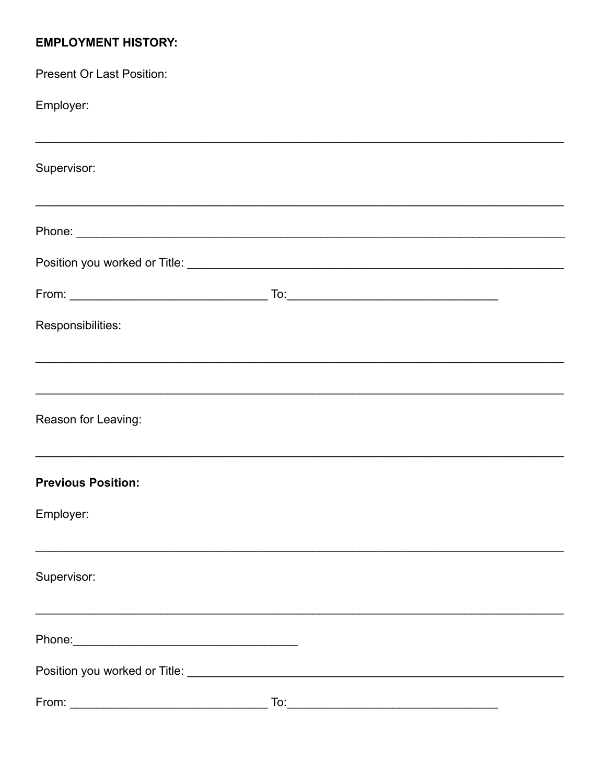## **EMPLOYMENT HISTORY:**

| <b>Present Or Last Position:</b>                                                                                                                                                                                               |     |                                                                                  |  |
|--------------------------------------------------------------------------------------------------------------------------------------------------------------------------------------------------------------------------------|-----|----------------------------------------------------------------------------------|--|
| Employer:                                                                                                                                                                                                                      |     |                                                                                  |  |
| Supervisor:                                                                                                                                                                                                                    |     |                                                                                  |  |
| <u> 1989 - Johann Barn, amerikan berkema dalam penyanyi dan berkema dalam pengaran berkema dalam pengaran dalam </u>                                                                                                           |     |                                                                                  |  |
|                                                                                                                                                                                                                                |     |                                                                                  |  |
|                                                                                                                                                                                                                                |     |                                                                                  |  |
| Responsibilities:                                                                                                                                                                                                              |     |                                                                                  |  |
|                                                                                                                                                                                                                                |     | ,我们也不能在这里的人,我们也不能在这里的人,我们也不能不能不能不能不能不能不能不能不能不能不能。""我们的人,我们也不能不能不能不能不能不能不能不能不能不能不 |  |
| Reason for Leaving:                                                                                                                                                                                                            |     |                                                                                  |  |
| <b>Previous Position:</b>                                                                                                                                                                                                      |     |                                                                                  |  |
| Employer:                                                                                                                                                                                                                      |     |                                                                                  |  |
| Supervisor:                                                                                                                                                                                                                    |     |                                                                                  |  |
| Phone: 2008 Phone: 2008 Phone: 2008 Phone: 2008 Phone: 2008 Phone: 2008 Phone: 2008 Phone: 2008 Phone: 2008 Phone: 2008 Phone: 2008 Phone: 2008 Phone: 2008 Phone: 2008 Phone: 2008 Phone: 2008 Phone: 2008 Phone: 2008 Phone: |     |                                                                                  |  |
|                                                                                                                                                                                                                                |     |                                                                                  |  |
| From:                                                                                                                                                                                                                          | To: |                                                                                  |  |